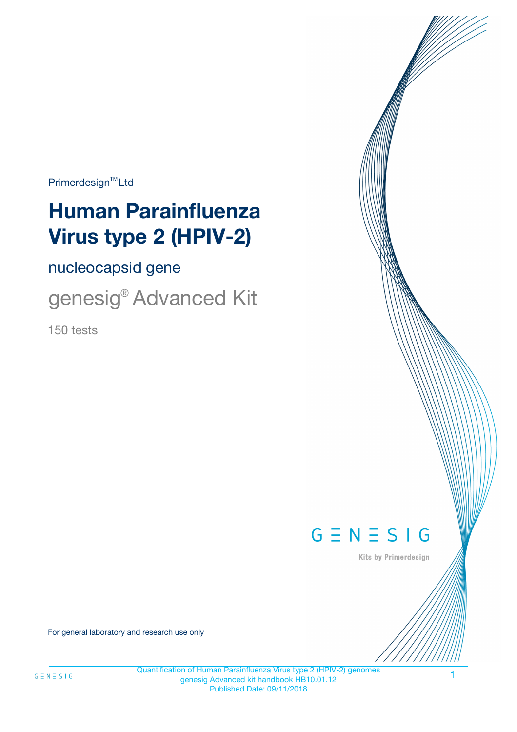$Primerdesign^{\text{TM}}Ltd$ 

# **Human Parainfluenza Virus type 2 (HPIV-2)**

nucleocapsid gene

genesig® Advanced Kit

150 tests



Kits by Primerdesign

For general laboratory and research use only

Quantification of Human Parainfluenza Virus type 2 (HPIV-2) genomes genesig Advanced kit handbook HB10.01.12 Published Date: 09/11/2018

1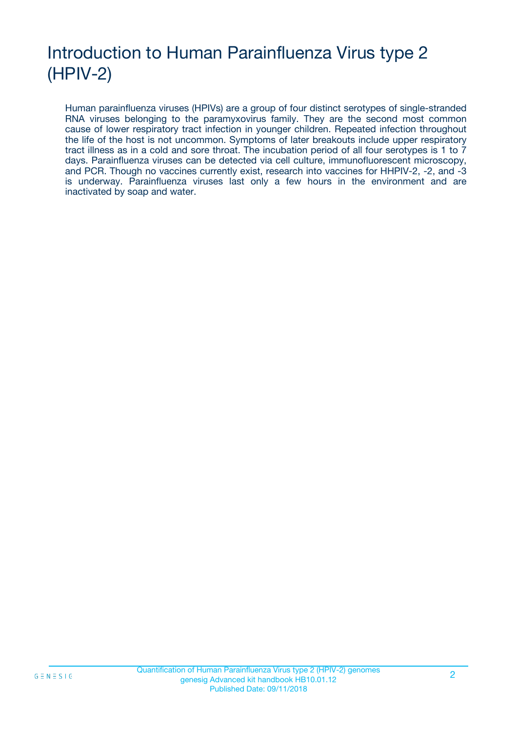# Introduction to Human Parainfluenza Virus type 2 (HPIV-2)

Human parainfluenza viruses (HPIVs) are a group of four distinct serotypes of single-stranded RNA viruses belonging to the paramyxovirus family. They are the second most common cause of lower respiratory tract infection in younger children. Repeated infection throughout the life of the host is not uncommon. Symptoms of later breakouts include upper respiratory tract illness as in a cold and sore throat. The incubation period of all four serotypes is 1 to 7 days. Parainfluenza viruses can be detected via cell culture, immunofluorescent microscopy, and PCR. Though no vaccines currently exist, research into vaccines for HHPIV-2, -2, and -3 is underway. Parainfluenza viruses last only a few hours in the environment and are inactivated by soap and water.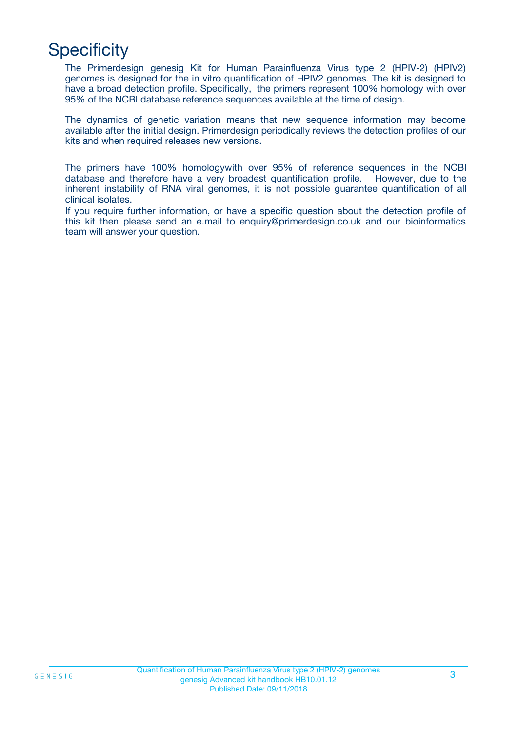# **Specificity**

The Primerdesign genesig Kit for Human Parainfluenza Virus type 2 (HPIV-2) (HPIV2) genomes is designed for the in vitro quantification of HPIV2 genomes. The kit is designed to have a broad detection profile. Specifically, the primers represent 100% homology with over 95% of the NCBI database reference sequences available at the time of design.

The dynamics of genetic variation means that new sequence information may become available after the initial design. Primerdesign periodically reviews the detection profiles of our kits and when required releases new versions.

The primers have 100% homologywith over 95% of reference sequences in the NCBI database and therefore have a very broadest quantification profile. However, due to the inherent instability of RNA viral genomes, it is not possible guarantee quantification of all clinical isolates.

If you require further information, or have a specific question about the detection profile of this kit then please send an e.mail to enquiry@primerdesign.co.uk and our bioinformatics team will answer your question.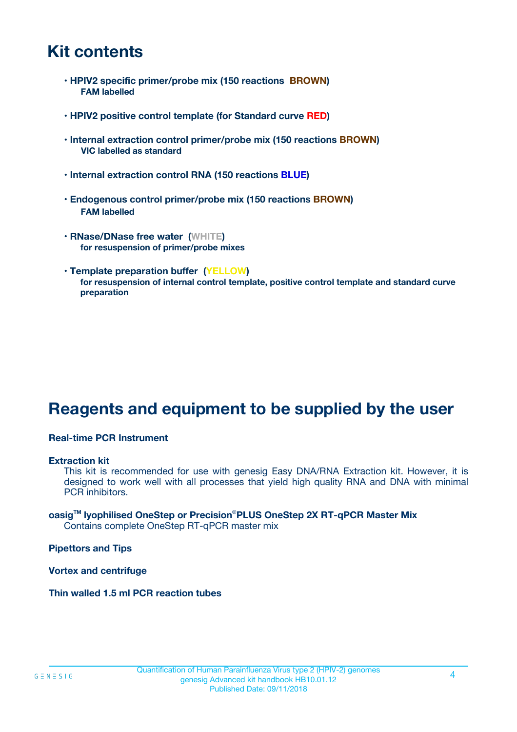# **Kit contents**

- **HPIV2 specific primer/probe mix (150 reactions BROWN) FAM labelled**
- **HPIV2 positive control template (for Standard curve RED)**
- **Internal extraction control primer/probe mix (150 reactions BROWN) VIC labelled as standard**
- **Internal extraction control RNA (150 reactions BLUE)**
- **Endogenous control primer/probe mix (150 reactions BROWN) FAM labelled**
- **RNase/DNase free water (WHITE) for resuspension of primer/probe mixes**
- **Template preparation buffer (YELLOW) for resuspension of internal control template, positive control template and standard curve preparation**

# **Reagents and equipment to be supplied by the user**

#### **Real-time PCR Instrument**

#### **Extraction kit**

This kit is recommended for use with genesig Easy DNA/RNA Extraction kit. However, it is designed to work well with all processes that yield high quality RNA and DNA with minimal PCR inhibitors.

#### **oasigTM lyophilised OneStep or Precision**®**PLUS OneStep 2X RT-qPCR Master Mix** Contains complete OneStep RT-qPCR master mix

**Pipettors and Tips**

**Vortex and centrifuge**

**Thin walled 1.5 ml PCR reaction tubes**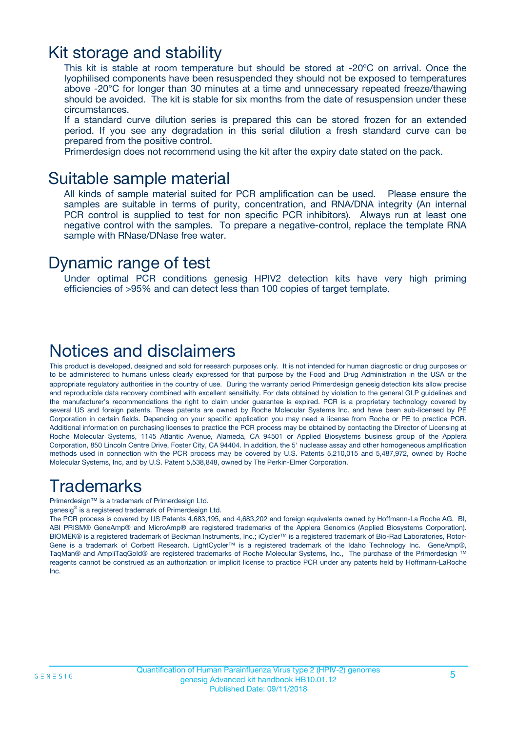## Kit storage and stability

This kit is stable at room temperature but should be stored at -20ºC on arrival. Once the lyophilised components have been resuspended they should not be exposed to temperatures above -20°C for longer than 30 minutes at a time and unnecessary repeated freeze/thawing should be avoided. The kit is stable for six months from the date of resuspension under these circumstances.

If a standard curve dilution series is prepared this can be stored frozen for an extended period. If you see any degradation in this serial dilution a fresh standard curve can be prepared from the positive control.

Primerdesign does not recommend using the kit after the expiry date stated on the pack.

### Suitable sample material

All kinds of sample material suited for PCR amplification can be used. Please ensure the samples are suitable in terms of purity, concentration, and RNA/DNA integrity (An internal PCR control is supplied to test for non specific PCR inhibitors). Always run at least one negative control with the samples. To prepare a negative-control, replace the template RNA sample with RNase/DNase free water.

### Dynamic range of test

Under optimal PCR conditions genesig HPIV2 detection kits have very high priming efficiencies of >95% and can detect less than 100 copies of target template.

## Notices and disclaimers

This product is developed, designed and sold for research purposes only. It is not intended for human diagnostic or drug purposes or to be administered to humans unless clearly expressed for that purpose by the Food and Drug Administration in the USA or the appropriate regulatory authorities in the country of use. During the warranty period Primerdesign genesig detection kits allow precise and reproducible data recovery combined with excellent sensitivity. For data obtained by violation to the general GLP guidelines and the manufacturer's recommendations the right to claim under guarantee is expired. PCR is a proprietary technology covered by several US and foreign patents. These patents are owned by Roche Molecular Systems Inc. and have been sub-licensed by PE Corporation in certain fields. Depending on your specific application you may need a license from Roche or PE to practice PCR. Additional information on purchasing licenses to practice the PCR process may be obtained by contacting the Director of Licensing at Roche Molecular Systems, 1145 Atlantic Avenue, Alameda, CA 94501 or Applied Biosystems business group of the Applera Corporation, 850 Lincoln Centre Drive, Foster City, CA 94404. In addition, the 5' nuclease assay and other homogeneous amplification methods used in connection with the PCR process may be covered by U.S. Patents 5,210,015 and 5,487,972, owned by Roche Molecular Systems, Inc, and by U.S. Patent 5,538,848, owned by The Perkin-Elmer Corporation.

# Trademarks

Primerdesign™ is a trademark of Primerdesign Ltd.

genesig® is a registered trademark of Primerdesign Ltd.

The PCR process is covered by US Patents 4,683,195, and 4,683,202 and foreign equivalents owned by Hoffmann-La Roche AG. BI, ABI PRISM® GeneAmp® and MicroAmp® are registered trademarks of the Applera Genomics (Applied Biosystems Corporation). BIOMEK® is a registered trademark of Beckman Instruments, Inc.; iCycler™ is a registered trademark of Bio-Rad Laboratories, Rotor-Gene is a trademark of Corbett Research. LightCycler™ is a registered trademark of the Idaho Technology Inc. GeneAmp®, TaqMan® and AmpliTaqGold® are registered trademarks of Roche Molecular Systems, Inc., The purchase of the Primerdesign ™ reagents cannot be construed as an authorization or implicit license to practice PCR under any patents held by Hoffmann-LaRoche Inc.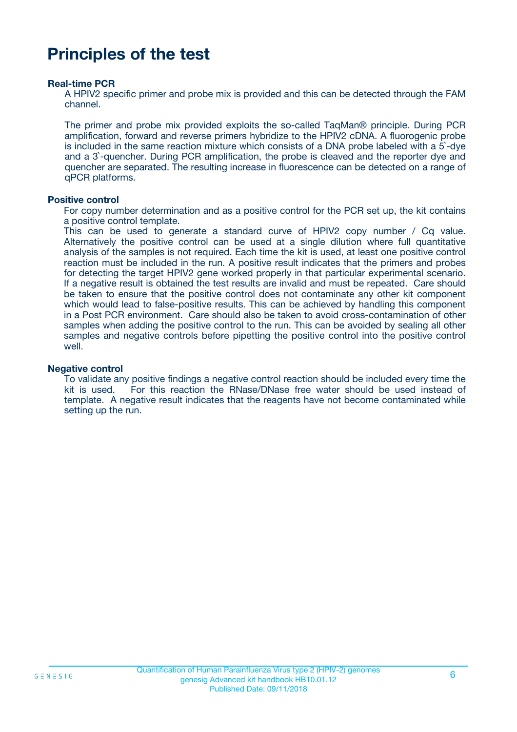# **Principles of the test**

#### **Real-time PCR**

A HPIV2 specific primer and probe mix is provided and this can be detected through the FAM channel.

The primer and probe mix provided exploits the so-called TaqMan® principle. During PCR amplification, forward and reverse primers hybridize to the HPIV2 cDNA. A fluorogenic probe is included in the same reaction mixture which consists of a DNA probe labeled with a 5`-dye and a 3`-quencher. During PCR amplification, the probe is cleaved and the reporter dye and quencher are separated. The resulting increase in fluorescence can be detected on a range of qPCR platforms.

#### **Positive control**

For copy number determination and as a positive control for the PCR set up, the kit contains a positive control template.

This can be used to generate a standard curve of HPIV2 copy number / Cq value. Alternatively the positive control can be used at a single dilution where full quantitative analysis of the samples is not required. Each time the kit is used, at least one positive control reaction must be included in the run. A positive result indicates that the primers and probes for detecting the target HPIV2 gene worked properly in that particular experimental scenario. If a negative result is obtained the test results are invalid and must be repeated. Care should be taken to ensure that the positive control does not contaminate any other kit component which would lead to false-positive results. This can be achieved by handling this component in a Post PCR environment. Care should also be taken to avoid cross-contamination of other samples when adding the positive control to the run. This can be avoided by sealing all other samples and negative controls before pipetting the positive control into the positive control well.

#### **Negative control**

To validate any positive findings a negative control reaction should be included every time the kit is used. For this reaction the RNase/DNase free water should be used instead of template. A negative result indicates that the reagents have not become contaminated while setting up the run.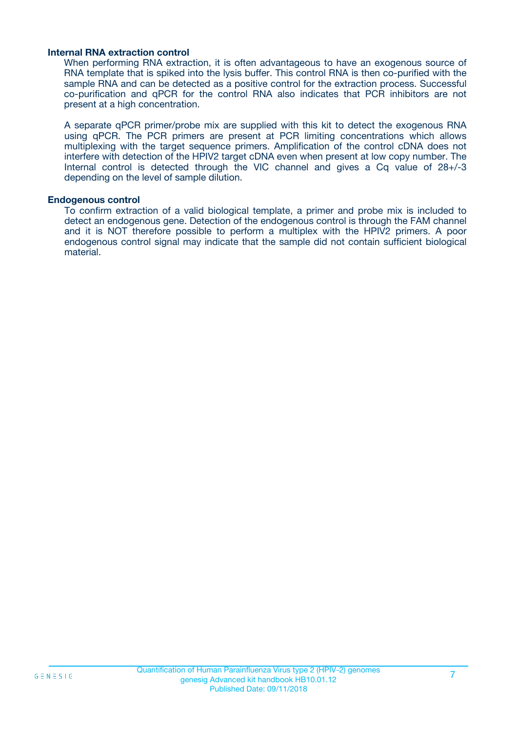#### **Internal RNA extraction control**

When performing RNA extraction, it is often advantageous to have an exogenous source of RNA template that is spiked into the lysis buffer. This control RNA is then co-purified with the sample RNA and can be detected as a positive control for the extraction process. Successful co-purification and qPCR for the control RNA also indicates that PCR inhibitors are not present at a high concentration.

A separate qPCR primer/probe mix are supplied with this kit to detect the exogenous RNA using qPCR. The PCR primers are present at PCR limiting concentrations which allows multiplexing with the target sequence primers. Amplification of the control cDNA does not interfere with detection of the HPIV2 target cDNA even when present at low copy number. The Internal control is detected through the VIC channel and gives a Cq value of 28+/-3 depending on the level of sample dilution.

#### **Endogenous control**

To confirm extraction of a valid biological template, a primer and probe mix is included to detect an endogenous gene. Detection of the endogenous control is through the FAM channel and it is NOT therefore possible to perform a multiplex with the HPIV2 primers. A poor endogenous control signal may indicate that the sample did not contain sufficient biological material.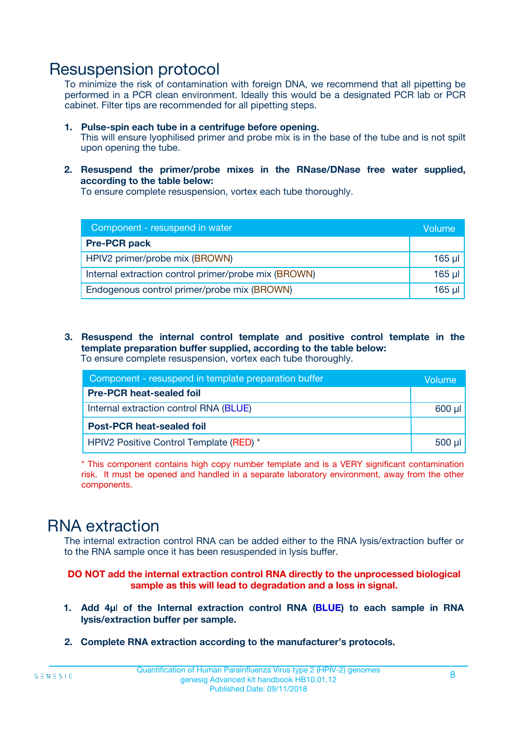## Resuspension protocol

To minimize the risk of contamination with foreign DNA, we recommend that all pipetting be performed in a PCR clean environment. Ideally this would be a designated PCR lab or PCR cabinet. Filter tips are recommended for all pipetting steps.

- **1. Pulse-spin each tube in a centrifuge before opening.** This will ensure lyophilised primer and probe mix is in the base of the tube and is not spilt upon opening the tube.
- **2. Resuspend the primer/probe mixes in the RNase/DNase free water supplied, according to the table below:**

To ensure complete resuspension, vortex each tube thoroughly.

| Component - resuspend in water                       |          |  |
|------------------------------------------------------|----------|--|
| <b>Pre-PCR pack</b>                                  |          |  |
| HPIV2 primer/probe mix (BROWN)                       | $165$ µl |  |
| Internal extraction control primer/probe mix (BROWN) | $165$ µl |  |
| Endogenous control primer/probe mix (BROWN)          | 165 µl   |  |

**3. Resuspend the internal control template and positive control template in the template preparation buffer supplied, according to the table below:** To ensure complete resuspension, vortex each tube thoroughly.

| Component - resuspend in template preparation buffer |             |  |  |
|------------------------------------------------------|-------------|--|--|
| <b>Pre-PCR heat-sealed foil</b>                      |             |  |  |
| Internal extraction control RNA (BLUE)               |             |  |  |
| <b>Post-PCR heat-sealed foil</b>                     |             |  |  |
| HPIV2 Positive Control Template (RED) *              | $500$ $\mu$ |  |  |

\* This component contains high copy number template and is a VERY significant contamination risk. It must be opened and handled in a separate laboratory environment, away from the other components.

# RNA extraction

The internal extraction control RNA can be added either to the RNA lysis/extraction buffer or to the RNA sample once it has been resuspended in lysis buffer.

**DO NOT add the internal extraction control RNA directly to the unprocessed biological sample as this will lead to degradation and a loss in signal.**

- **1. Add 4µ**l **of the Internal extraction control RNA (BLUE) to each sample in RNA lysis/extraction buffer per sample.**
- **2. Complete RNA extraction according to the manufacturer's protocols.**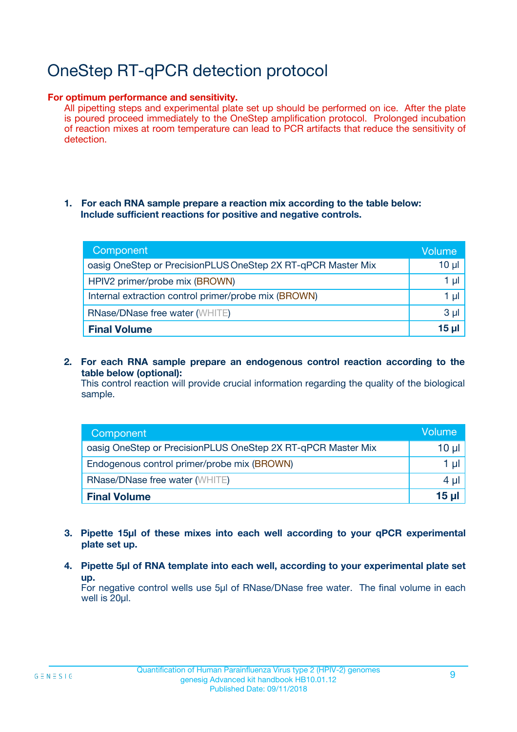# OneStep RT-qPCR detection protocol

#### **For optimum performance and sensitivity.**

All pipetting steps and experimental plate set up should be performed on ice. After the plate is poured proceed immediately to the OneStep amplification protocol. Prolonged incubation of reaction mixes at room temperature can lead to PCR artifacts that reduce the sensitivity of detection.

#### **1. For each RNA sample prepare a reaction mix according to the table below: Include sufficient reactions for positive and negative controls.**

| Component                                                    | <b>Volume</b> |
|--------------------------------------------------------------|---------------|
| oasig OneStep or PrecisionPLUS OneStep 2X RT-qPCR Master Mix | $10 \mu$      |
| HPIV2 primer/probe mix (BROWN)                               | 1 µI          |
| Internal extraction control primer/probe mix (BROWN)         | 1 µI          |
| <b>RNase/DNase free water (WHITE)</b>                        | $3 \mu$       |
| <b>Final Volume</b>                                          | 15 µl         |

**2. For each RNA sample prepare an endogenous control reaction according to the table below (optional):**

This control reaction will provide crucial information regarding the quality of the biological sample.

| Component                                                    | Volume          |
|--------------------------------------------------------------|-----------------|
| oasig OneStep or PrecisionPLUS OneStep 2X RT-qPCR Master Mix | 10 µl           |
| Endogenous control primer/probe mix (BROWN)                  | 1 µl            |
| <b>RNase/DNase free water (WHITE)</b>                        | $4 \mu$         |
| <b>Final Volume</b>                                          | $15$ µl $\vert$ |

- **3. Pipette 15µl of these mixes into each well according to your qPCR experimental plate set up.**
- **4. Pipette 5µl of RNA template into each well, according to your experimental plate set up.**

For negative control wells use 5µl of RNase/DNase free water. The final volume in each well is 20µl.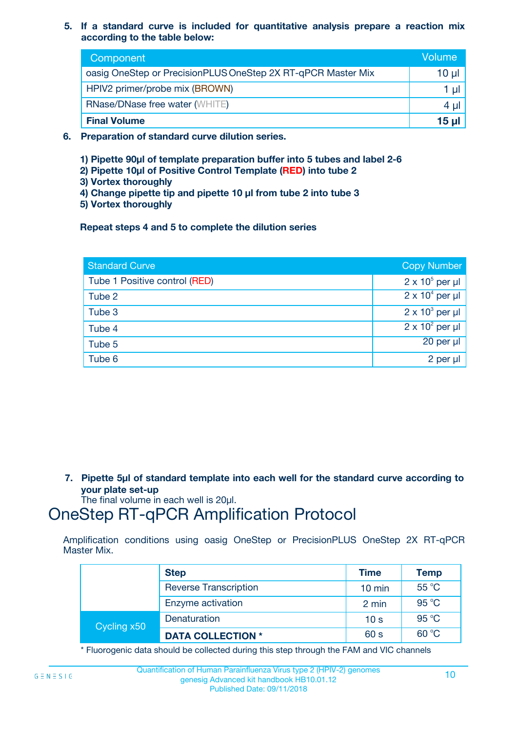**5. If a standard curve is included for quantitative analysis prepare a reaction mix according to the table below:**

| Component                                                    | Volume       |
|--------------------------------------------------------------|--------------|
| oasig OneStep or PrecisionPLUS OneStep 2X RT-qPCR Master Mix | 10 µl        |
| HPIV2 primer/probe mix (BROWN)                               |              |
| <b>RNase/DNase free water (WHITE)</b>                        | 4 U          |
| <b>Final Volume</b>                                          | <u>15 µl</u> |

- **6. Preparation of standard curve dilution series.**
	- **1) Pipette 90µl of template preparation buffer into 5 tubes and label 2-6**
	- **2) Pipette 10µl of Positive Control Template (RED) into tube 2**
	- **3) Vortex thoroughly**
	- **4) Change pipette tip and pipette 10 µl from tube 2 into tube 3**
	- **5) Vortex thoroughly**

**Repeat steps 4 and 5 to complete the dilution series**

| <b>Standard Curve</b>         | <b>Copy Number</b>     |
|-------------------------------|------------------------|
| Tube 1 Positive control (RED) | $2 \times 10^5$ per µl |
| Tube 2                        | $2 \times 10^4$ per µl |
| Tube 3                        | $2 \times 10^3$ per µl |
| Tube 4                        | $2 \times 10^2$ per µl |
| Tube 5                        | 20 per µl              |
| Tube 6                        | 2 per µl               |

**7. Pipette 5µl of standard template into each well for the standard curve according to your plate set-up**

The final volume in each well is 20µl.

# OneStep RT-qPCR Amplification Protocol

Amplification conditions using oasig OneStep or PrecisionPLUS OneStep 2X RT-qPCR Master Mix.

|             | <b>Step</b>                  | <b>Time</b>      | <b>Temp</b> |
|-------------|------------------------------|------------------|-------------|
|             | <b>Reverse Transcription</b> | $10 \text{ min}$ | 55 °C       |
|             | Enzyme activation            | 2 min            | 95 °C       |
| Cycling x50 | Denaturation                 | 10 <sub>s</sub>  | 95 °C       |
|             | <b>DATA COLLECTION *</b>     | 60 s             | 60 °C       |

\* Fluorogenic data should be collected during this step through the FAM and VIC channels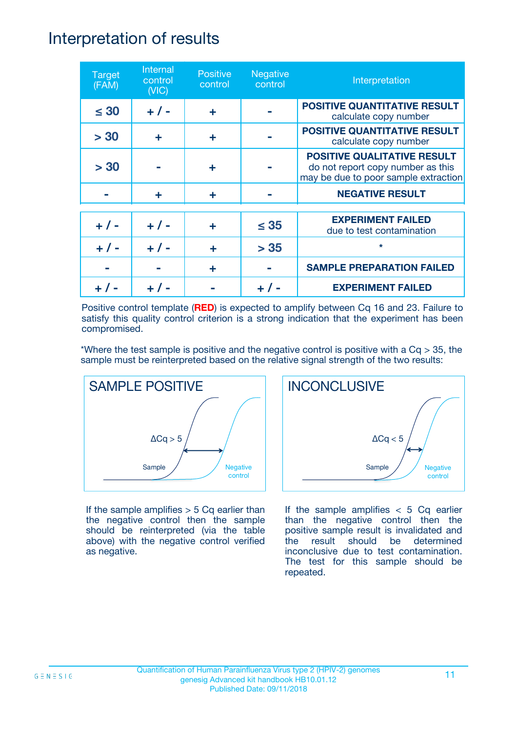## Interpretation of results

| <b>Target</b><br>(FAM) | Internal<br>control<br>(NIC) | <b>Positive</b><br>control | <b>Negative</b><br>control | Interpretation                                                                                                  |
|------------------------|------------------------------|----------------------------|----------------------------|-----------------------------------------------------------------------------------------------------------------|
| $\leq 30$              | $+ 1 -$                      | ÷                          |                            | <b>POSITIVE QUANTITATIVE RESULT</b><br>calculate copy number                                                    |
| > 30                   | ÷                            | ÷                          |                            | POSITIVE QUANTITATIVE RESULT<br>calculate copy number                                                           |
| > 30                   |                              | ÷                          |                            | <b>POSITIVE QUALITATIVE RESULT</b><br>do not report copy number as this<br>may be due to poor sample extraction |
|                        | ÷                            | ÷                          |                            | <b>NEGATIVE RESULT</b>                                                                                          |
| $+ 1 -$                | $+ 1 -$                      | ÷                          | $\leq$ 35                  | <b>EXPERIMENT FAILED</b><br>due to test contamination                                                           |
| $+$ /                  | $+ 1 -$                      | ÷                          | > 35                       | $\star$                                                                                                         |
|                        |                              | ÷                          |                            | <b>SAMPLE PREPARATION FAILED</b>                                                                                |
|                        |                              |                            |                            | <b>EXPERIMENT FAILED</b>                                                                                        |

Positive control template (**RED**) is expected to amplify between Cq 16 and 23. Failure to satisfy this quality control criterion is a strong indication that the experiment has been compromised.

\*Where the test sample is positive and the negative control is positive with a  $Cq > 35$ , the sample must be reinterpreted based on the relative signal strength of the two results:



If the sample amplifies  $> 5$  Cq earlier than the negative control then the sample should be reinterpreted (via the table above) with the negative control verified as negative.



If the sample amplifies  $< 5$  Cq earlier than the negative control then the positive sample result is invalidated and the result should be determined inconclusive due to test contamination. The test for this sample should be repeated.